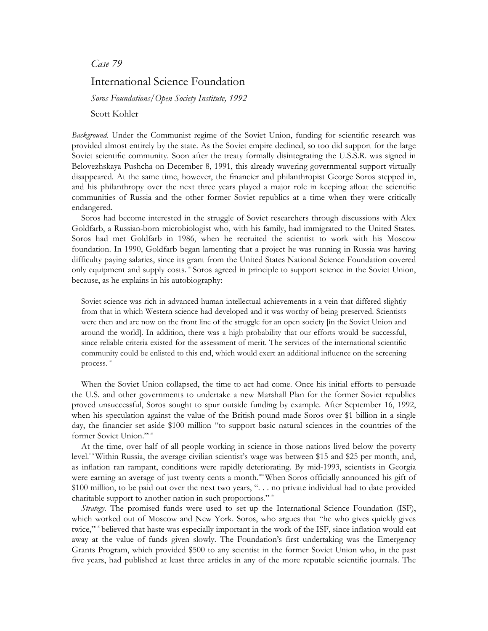*Case 79* 

## International Science Foundation

*Soros Foundations/Open Society Institute, 1992* 

Scott Kohler

*Background.* Under the Communist regime of the Soviet Union, funding for scientific research was provided almost entirely by the state. As the Soviet empire declined, so too did support for the large Soviet scientific community. Soon after the treaty formally disintegrating the U.S.S.R. was signed in Belovezhskaya Pushcha on December 8, 1991, this already wavering governmental support virtually disappeared. At the same time, however, the financier and philanthropist George Soros stepped in, and his philanthropy over the next three years played a major role in keeping afloat the scientific communities of Russia and the other former Soviet republics at a time when they were critically endangered.

Soros had become interested in the struggle of Soviet researchers through discussions with Alex Goldfarb, a Russian-born microbiologist who, with his family, had immigrated to the United States. Soros had met Goldfarb in 1986, when he recruited the scientist to work with his Moscow foundation. In 1990, Goldfarb began lamenting that a project he was running in Russia was having difficulty paying salaries, since its grant from the United States National Science Foundation covered only equipment and supply costs." Soros agreed in principle to support science in the Soviet Union, because, as he explains in his autobiography:

Soviet science was rich in advanced human intellectual achievements in a vein that differed slightly from that in which Western science had developed and it was worthy of being preserved. Scientists were then and are now on the front line of the struggle for an open society [in the Soviet Union and around the world]. In addition, there was a high probability that our efforts would be successful, since reliable criteria existed for the assessment of merit. The services of the international scientific community could be enlisted to this end, which would exert an additional influence on the screening process.<sup>115</sup>

When the Soviet Union collapsed, the time to act had come. Once his initial efforts to persuade the U.S. and other governments to undertake a new Marshall Plan for the former Soviet republics proved unsuccessful, Soros sought to spur outside funding by example. After September 16, 1992, when his speculation against the value of the British pound made Soros over \$1 billion in a single day, the financier set aside \$100 million "to support basic natural sciences in the countries of the former Soviet Union."<sup>1153</sup>

At the time, over half of all people working in science in those nations lived below the poverty level.1154 Within Russia, the average civilian scientist's wage was between \$15 and \$25 per month, and, as inflation ran rampant, conditions were rapidly deteriorating. By mid-1993, scientists in Georgia were earning an average of just twenty cents a month." When Soros officially announced his gift of \$100 million, to be paid out over the next two years, ". . . no private individual had to date provided charitable support to another nation in such proportions."<sup>1156</sup>

*Strategy.* The promised funds were used to set up the International Science Foundation (ISF), which worked out of Moscow and New York. Soros, who argues that "he who gives quickly gives twice,"1157 believed that haste was especially important in the work of the ISF, since inflation would eat away at the value of funds given slowly. The Foundation's first undertaking was the Emergency Grants Program, which provided \$500 to any scientist in the former Soviet Union who, in the past five years, had published at least three articles in any of the more reputable scientific journals. The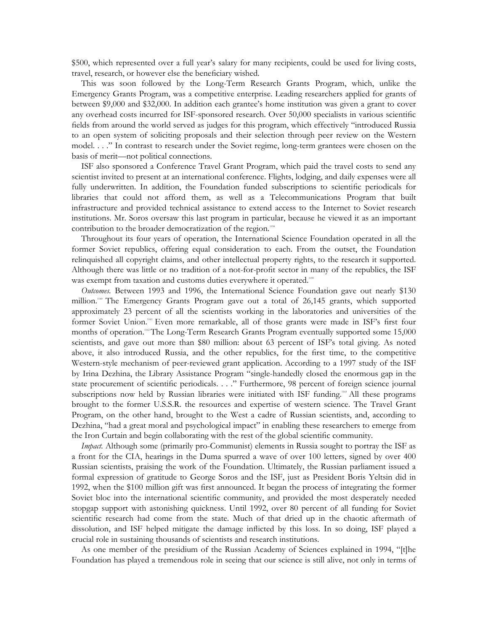\$500, which represented over a full year's salary for many recipients, could be used for living costs, travel, research, or however else the beneficiary wished.

This was soon followed by the Long-Term Research Grants Program, which, unlike the Emergency Grants Program, was a competitive enterprise. Leading researchers applied for grants of between \$9,000 and \$32,000. In addition each grantee's home institution was given a grant to cover any overhead costs incurred for ISF-sponsored research. Over 50,000 specialists in various scientific fields from around the world served as judges for this program, which effectively "introduced Russia to an open system of soliciting proposals and their selection through peer review on the Western model. . . ." In contrast to research under the Soviet regime, long-term grantees were chosen on the basis of merit—not political connections.

ISF also sponsored a Conference Travel Grant Program, which paid the travel costs to send any scientist invited to present at an international conference. Flights, lodging, and daily expenses were all fully underwritten. In addition, the Foundation funded subscriptions to scientific periodicals for libraries that could not afford them, as well as a Telecommunications Program that built infrastructure and provided technical assistance to extend access to the Internet to Soviet research institutions. Mr. Soros oversaw this last program in particular, because he viewed it as an important contribution to the broader democratization of the region.<sup>1158</sup>

Throughout its four years of operation, the International Science Foundation operated in all the former Soviet republics, offering equal consideration to each. From the outset, the Foundation relinquished all copyright claims, and other intellectual property rights, to the research it supported. Although there was little or no tradition of a not-for-profit sector in many of the republics, the ISF was exempt from taxation and customs duties everywhere it operated.<sup>1159</sup>

*Outcomes.* Between 1993 and 1996, the International Science Foundation gave out nearly \$130 million.<sup>116</sup> The Emergency Grants Program gave out a total of 26,145 grants, which supported approximately 23 percent of all the scientists working in the laboratories and universities of the former Soviet Union.<sup>1161</sup> Even more remarkable, all of those grants were made in ISF's first four months of operation.<sup>116</sup> The Long-Term Research Grants Program eventually supported some 15,000 scientists, and gave out more than \$80 million: about 63 percent of ISF's total giving. As noted above, it also introduced Russia, and the other republics, for the first time, to the competitive Western-style mechanism of peer-reviewed grant application. According to a 1997 study of the ISF by Irina Dezhina, the Library Assistance Program "single-handedly closed the enormous gap in the state procurement of scientific periodicals. . . ." Furthermore, 98 percent of foreign science journal subscriptions now held by Russian libraries were initiated with ISF funding.<sup>116</sup> All these programs brought to the former U.S.S.R. the resources and expertise of western science. The Travel Grant Program, on the other hand, brought to the West a cadre of Russian scientists, and, according to Dezhina, "had a great moral and psychological impact" in enabling these researchers to emerge from the Iron Curtain and begin collaborating with the rest of the global scientific community.

*Impact.* Although some (primarily pro-Communist) elements in Russia sought to portray the ISF as a front for the CIA, hearings in the Duma spurred a wave of over 100 letters, signed by over 400 Russian scientists, praising the work of the Foundation. Ultimately, the Russian parliament issued a formal expression of gratitude to George Soros and the ISF, just as President Boris Yeltsin did in 1992, when the \$100 million gift was first announced. It began the process of integrating the former Soviet bloc into the international scientific community, and provided the most desperately needed stopgap support with astonishing quickness. Until 1992, over 80 percent of all funding for Soviet scientific research had come from the state. Much of that dried up in the chaotic aftermath of dissolution, and ISF helped mitigate the damage inflicted by this loss. In so doing, ISF played a crucial role in sustaining thousands of scientists and research institutions.

As one member of the presidium of the Russian Academy of Sciences explained in 1994, "[t]he Foundation has played a tremendous role in seeing that our science is still alive, not only in terms of